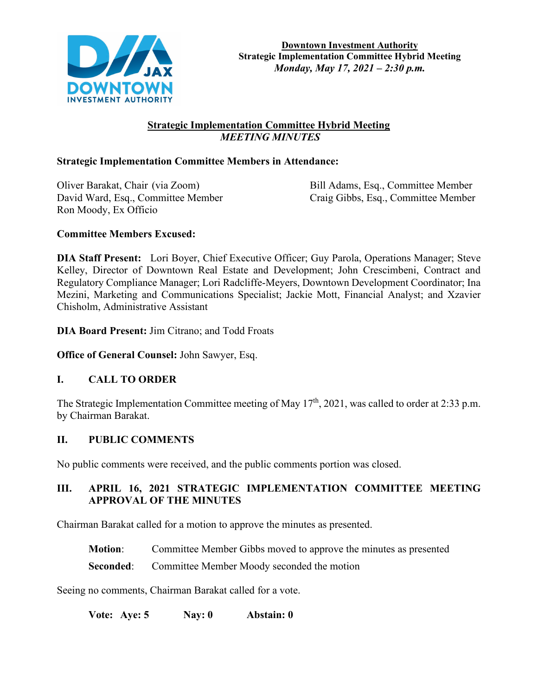

## **Strategic Implementation Committee Hybrid Meeting**  *MEETING MINUTES*

### **Strategic Implementation Committee Members in Attendance:**

Oliver Barakat, Chair (via Zoom) Bill Adams, Esq., Committee Member Ron Moody, Ex Officio

David Ward, Esq., Committee Member Craig Gibbs, Esq., Committee Member

### **Committee Members Excused:**

**DIA Staff Present:** Lori Boyer, Chief Executive Officer; Guy Parola, Operations Manager; Steve Kelley, Director of Downtown Real Estate and Development; John Crescimbeni, Contract and Regulatory Compliance Manager; Lori Radcliffe-Meyers, Downtown Development Coordinator; Ina Mezini, Marketing and Communications Specialist; Jackie Mott, Financial Analyst; and Xzavier Chisholm, Administrative Assistant

**DIA Board Present:** Jim Citrano; and Todd Froats

**Office of General Counsel:** John Sawyer, Esq.

### **I. CALL TO ORDER**

The Strategic Implementation Committee meeting of May  $17<sup>th</sup>$ , 2021, was called to order at 2:33 p.m. by Chairman Barakat.

### **II. PUBLIC COMMENTS**

No public comments were received, and the public comments portion was closed.

# **III. APRIL 16, 2021 STRATEGIC IMPLEMENTATION COMMITTEE MEETING APPROVAL OF THE MINUTES**

Chairman Barakat called for a motion to approve the minutes as presented.

**Motion**: Committee Member Gibbs moved to approve the minutes as presented

**Seconded:** Committee Member Moody seconded the motion

Seeing no comments, Chairman Barakat called for a vote.

**Vote: Aye: 5 Nay: 0 Abstain: 0**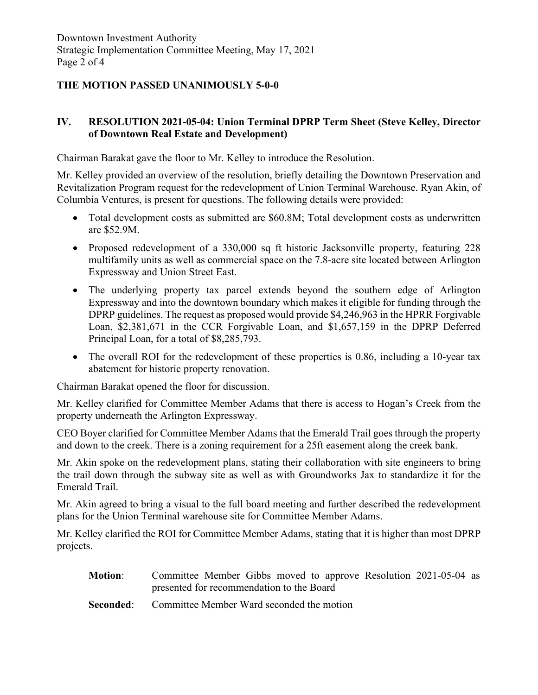# **THE MOTION PASSED UNANIMOUSLY 5-0-0**

### **IV. RESOLUTION 2021-05-04: Union Terminal DPRP Term Sheet (Steve Kelley, Director of Downtown Real Estate and Development)**

Chairman Barakat gave the floor to Mr. Kelley to introduce the Resolution.

Mr. Kelley provided an overview of the resolution, briefly detailing the Downtown Preservation and Revitalization Program request for the redevelopment of Union Terminal Warehouse. Ryan Akin, of Columbia Ventures, is present for questions. The following details were provided:

- Total development costs as submitted are \$60.8M; Total development costs as underwritten are \$52.9M.
- Proposed redevelopment of a 330,000 sq ft historic Jacksonville property, featuring 228 multifamily units as well as commercial space on the 7.8-acre site located between Arlington Expressway and Union Street East.
- The underlying property tax parcel extends beyond the southern edge of Arlington Expressway and into the downtown boundary which makes it eligible for funding through the DPRP guidelines. The request as proposed would provide \$4,246,963 in the HPRR Forgivable Loan, \$2,381,671 in the CCR Forgivable Loan, and \$1,657,159 in the DPRP Deferred Principal Loan, for a total of \$8,285,793.
- The overall ROI for the redevelopment of these properties is 0.86, including a 10-year tax abatement for historic property renovation.

Chairman Barakat opened the floor for discussion.

Mr. Kelley clarified for Committee Member Adams that there is access to Hogan's Creek from the property underneath the Arlington Expressway.

CEO Boyer clarified for Committee Member Adams that the Emerald Trail goes through the property and down to the creek. There is a zoning requirement for a 25ft easement along the creek bank.

Mr. Akin spoke on the redevelopment plans, stating their collaboration with site engineers to bring the trail down through the subway site as well as with Groundworks Jax to standardize it for the Emerald Trail.

Mr. Akin agreed to bring a visual to the full board meeting and further described the redevelopment plans for the Union Terminal warehouse site for Committee Member Adams.

Mr. Kelley clarified the ROI for Committee Member Adams, stating that it is higher than most DPRP projects.

| <b>Motion:</b> | Committee Member Gibbs moved to approve Resolution 2021-05-04 as |
|----------------|------------------------------------------------------------------|
|                | presented for recommendation to the Board                        |
|                | <b>Seconded:</b> Committee Member Ward seconded the motion       |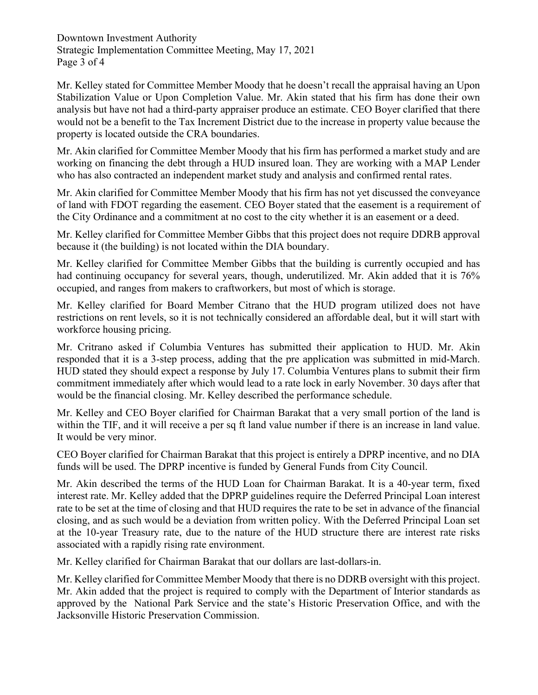Downtown Investment Authority Strategic Implementation Committee Meeting, May 17, 2021 Page 3 of 4

Mr. Kelley stated for Committee Member Moody that he doesn't recall the appraisal having an Upon Stabilization Value or Upon Completion Value. Mr. Akin stated that his firm has done their own analysis but have not had a third-party appraiser produce an estimate. CEO Boyer clarified that there would not be a benefit to the Tax Increment District due to the increase in property value because the property is located outside the CRA boundaries.

Mr. Akin clarified for Committee Member Moody that his firm has performed a market study and are working on financing the debt through a HUD insured loan. They are working with a MAP Lender who has also contracted an independent market study and analysis and confirmed rental rates.

Mr. Akin clarified for Committee Member Moody that his firm has not yet discussed the conveyance of land with FDOT regarding the easement. CEO Boyer stated that the easement is a requirement of the City Ordinance and a commitment at no cost to the city whether it is an easement or a deed.

Mr. Kelley clarified for Committee Member Gibbs that this project does not require DDRB approval because it (the building) is not located within the DIA boundary.

Mr. Kelley clarified for Committee Member Gibbs that the building is currently occupied and has had continuing occupancy for several years, though, underutilized. Mr. Akin added that it is 76% occupied, and ranges from makers to craftworkers, but most of which is storage.

Mr. Kelley clarified for Board Member Citrano that the HUD program utilized does not have restrictions on rent levels, so it is not technically considered an affordable deal, but it will start with workforce housing pricing.

Mr. Critrano asked if Columbia Ventures has submitted their application to HUD. Mr. Akin responded that it is a 3-step process, adding that the pre application was submitted in mid-March. HUD stated they should expect a response by July 17. Columbia Ventures plans to submit their firm commitment immediately after which would lead to a rate lock in early November. 30 days after that would be the financial closing. Mr. Kelley described the performance schedule.

Mr. Kelley and CEO Boyer clarified for Chairman Barakat that a very small portion of the land is within the TIF, and it will receive a per sq ft land value number if there is an increase in land value. It would be very minor.

CEO Boyer clarified for Chairman Barakat that this project is entirely a DPRP incentive, and no DIA funds will be used. The DPRP incentive is funded by General Funds from City Council.

Mr. Akin described the terms of the HUD Loan for Chairman Barakat. It is a 40-year term, fixed interest rate. Mr. Kelley added that the DPRP guidelines require the Deferred Principal Loan interest rate to be set at the time of closing and that HUD requires the rate to be set in advance of the financial closing, and as such would be a deviation from written policy. With the Deferred Principal Loan set at the 10-year Treasury rate, due to the nature of the HUD structure there are interest rate risks associated with a rapidly rising rate environment.

Mr. Kelley clarified for Chairman Barakat that our dollars are last-dollars-in.

Mr. Kelley clarified for Committee Member Moody that there is no DDRB oversight with this project. Mr. Akin added that the project is required to comply with the Department of Interior standards as approved by the National Park Service and the state's Historic Preservation Office, and with the Jacksonville Historic Preservation Commission.